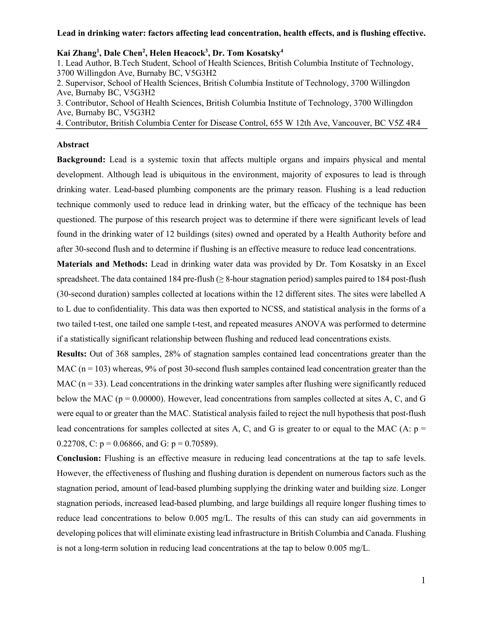#### **Lead in drinking water: factors affecting lead concentration, health effects, and is flushing effective.**

**Kai Zhang1 , Dale Chen2 , Helen Heacock3 , Dr. Tom Kosatsky4** 

1. Lead Author, B.Tech Student, School of Health Sciences, British Columbia Institute of Technology, 3700 Willingdon Ave, Burnaby BC, V5G3H2

2. Supervisor, School of Health Sciences, British Columbia Institute of Technology, 3700 Willingdon Ave, Burnaby BC, V5G3H2

3. Contributor, School of Health Sciences, British Columbia Institute of Technology, 3700 Willingdon Ave, Burnaby BC, V5G3H2

4. Contributor, British Columbia Center for Disease Control, 655 W 12th Ave, Vancouver, BC V5Z 4R4

#### **Abstract**

**Background:** Lead is a systemic toxin that affects multiple organs and impairs physical and mental development. Although lead is ubiquitous in the environment, majority of exposures to lead is through drinking water. Lead-based plumbing components are the primary reason. Flushing is a lead reduction technique commonly used to reduce lead in drinking water, but the efficacy of the technique has been questioned. The purpose of this research project was to determine if there were significant levels of lead found in the drinking water of 12 buildings (sites) owned and operated by a Health Authority before and after 30-second flush and to determine if flushing is an effective measure to reduce lead concentrations.

**Materials and Methods:** Lead in drinking water data was provided by Dr. Tom Kosatsky in an Excel spreadsheet. The data contained 184 pre-flush ( $\geq$  8-hour stagnation period) samples paired to 184 post-flush (30-second duration) samples collected at locations within the 12 different sites. The sites were labelled A to L due to confidentiality. This data was then exported to NCSS, and statistical analysis in the forms of a two tailed t-test, one tailed one sample t-test, and repeated measures ANOVA was performed to determine if a statistically significant relationship between flushing and reduced lead concentrations exists.

**Results:** Out of 368 samples, 28% of stagnation samples contained lead concentrations greater than the MAC ( $n = 103$ ) whereas, 9% of post 30-second flush samples contained lead concentration greater than the MAC  $(n = 33)$ . Lead concentrations in the drinking water samples after flushing were significantly reduced below the MAC ( $p = 0.00000$ ). However, lead concentrations from samples collected at sites A, C, and G were equal to or greater than the MAC. Statistical analysis failed to reject the null hypothesis that post-flush lead concentrations for samples collected at sites A, C, and G is greater to or equal to the MAC (A:  $p =$ 0.22708, C:  $p = 0.06866$ , and G:  $p = 0.70589$ ).

**Conclusion:** Flushing is an effective measure in reducing lead concentrations at the tap to safe levels. However, the effectiveness of flushing and flushing duration is dependent on numerous factors such as the stagnation period, amount of lead-based plumbing supplying the drinking water and building size. Longer stagnation periods, increased lead-based plumbing, and large buildings all require longer flushing times to reduce lead concentrations to below 0.005 mg/L. The results of this can study can aid governments in developing polices that will eliminate existing lead infrastructure in British Columbia and Canada. Flushing is not a long-term solution in reducing lead concentrations at the tap to below 0.005 mg/L.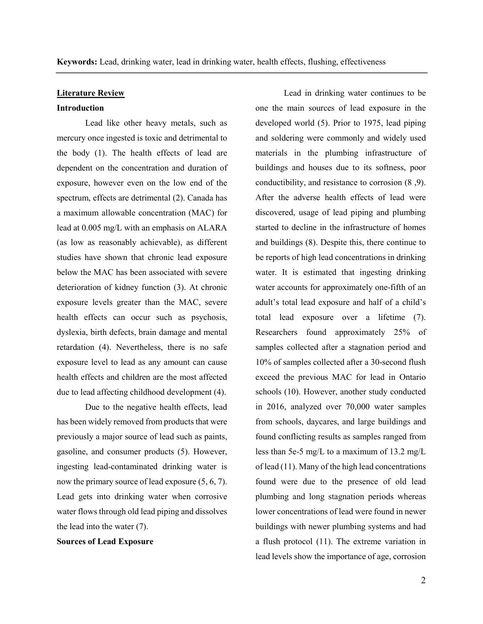## **Literature Review**

## **Introduction**

Lead like other heavy metals, such as mercury once ingested is toxic and detrimental to the body (1). The health effects of lead are dependent on the concentration and duration of exposure, however even on the low end of the spectrum, effects are detrimental (2). Canada has a maximum allowable concentration (MAC) for lead at 0.005 mg/L with an emphasis on ALARA (as low as reasonably achievable), as different studies have shown that chronic lead exposure below the MAC has been associated with severe deterioration of kidney function (3). At chronic exposure levels greater than the MAC, severe health effects can occur such as psychosis, dyslexia, birth defects, brain damage and mental retardation (4). Nevertheless, there is no safe exposure level to lead as any amount can cause health effects and children are the most affected due to lead affecting childhood development (4).

Due to the negative health effects, lead has been widely removed from products that were previously a major source of lead such as paints, gasoline, and consumer products (5). However, ingesting lead-contaminated drinking water is now the primary source of lead exposure (5, 6, 7). Lead gets into drinking water when corrosive water flows through old lead piping and dissolves the lead into the water (7).

**Sources of Lead Exposure** 

Lead in drinking water continues to be one the main sources of lead exposure in the developed world (5). Prior to 1975, lead piping and soldering were commonly and widely used materials in the plumbing infrastructure of buildings and houses due to its softness, poor conductibility, and resistance to corrosion (8 ,9). After the adverse health effects of lead were discovered, usage of lead piping and plumbing started to decline in the infrastructure of homes and buildings (8). Despite this, there continue to be reports of high lead concentrations in drinking water. It is estimated that ingesting drinking water accounts for approximately one-fifth of an adult's total lead exposure and half of a child's total lead exposure over a lifetime (7). Researchers found approximately 25% of samples collected after a stagnation period and 10% of samples collected after a 30-second flush exceed the previous MAC for lead in Ontario schools (10). However, another study conducted in 2016, analyzed over 70,000 water samples from schools, daycares, and large buildings and found conflicting results as samples ranged from less than 5e-5 mg/L to a maximum of 13.2 mg/L of lead (11). Many of the high lead concentrations found were due to the presence of old lead plumbing and long stagnation periods whereas lower concentrations of lead were found in newer buildings with newer plumbing systems and had a flush protocol (11). The extreme variation in lead levels show the importance of age, corrosion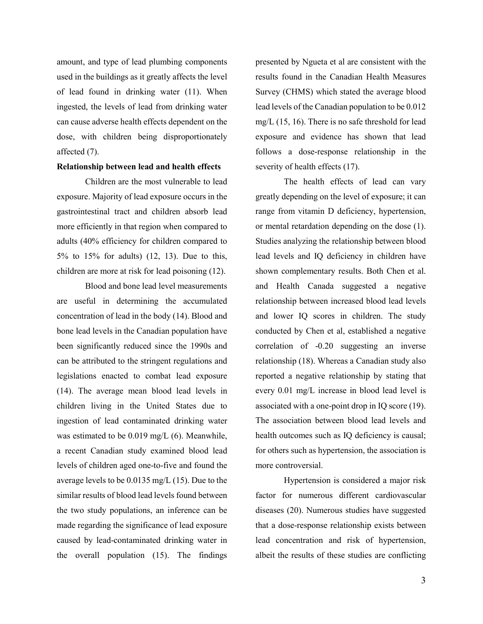amount, and type of lead plumbing components used in the buildings as it greatly affects the level of lead found in drinking water (11). When ingested, the levels of lead from drinking water can cause adverse health effects dependent on the dose, with children being disproportionately affected (7).

## **Relationship between lead and health effects**

Children are the most vulnerable to lead exposure. Majority of lead exposure occurs in the gastrointestinal tract and children absorb lead more efficiently in that region when compared to adults (40% efficiency for children compared to 5% to 15% for adults) (12, 13). Due to this, children are more at risk for lead poisoning (12).

Blood and bone lead level measurements are useful in determining the accumulated concentration of lead in the body (14). Blood and bone lead levels in the Canadian population have been significantly reduced since the 1990s and can be attributed to the stringent regulations and legislations enacted to combat lead exposure (14). The average mean blood lead levels in children living in the United States due to ingestion of lead contaminated drinking water was estimated to be 0.019 mg/L (6). Meanwhile, a recent Canadian study examined blood lead levels of children aged one-to-five and found the average levels to be 0.0135 mg/L (15). Due to the similar results of blood lead levels found between the two study populations, an inference can be made regarding the significance of lead exposure caused by lead-contaminated drinking water in the overall population (15). The findings

presented by Ngueta et al are consistent with the results found in the Canadian Health Measures Survey (CHMS) which stated the average blood lead levels of the Canadian population to be 0.012 mg/L (15, 16). There is no safe threshold for lead exposure and evidence has shown that lead follows a dose-response relationship in the severity of health effects (17).

The health effects of lead can vary greatly depending on the level of exposure; it can range from vitamin D deficiency, hypertension, or mental retardation depending on the dose (1). Studies analyzing the relationship between blood lead levels and IQ deficiency in children have shown complementary results. Both Chen et al. and Health Canada suggested a negative relationship between increased blood lead levels and lower IQ scores in children. The study conducted by Chen et al, established a negative correlation of -0.20 suggesting an inverse relationship (18). Whereas a Canadian study also reported a negative relationship by stating that every 0.01 mg/L increase in blood lead level is associated with a one-point drop in IQ score (19). The association between blood lead levels and health outcomes such as IQ deficiency is causal; for others such as hypertension, the association is more controversial.

Hypertension is considered a major risk factor for numerous different cardiovascular diseases (20). Numerous studies have suggested that a dose-response relationship exists between lead concentration and risk of hypertension, albeit the results of these studies are conflicting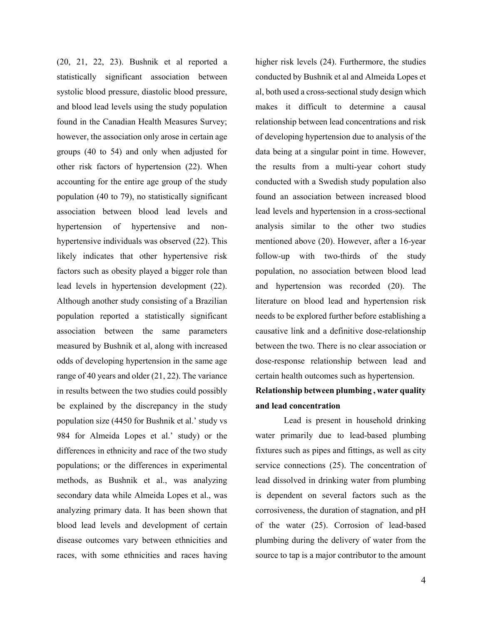(20, 21, 22, 23). Bushnik et al reported a statistically significant association between systolic blood pressure, diastolic blood pressure, and blood lead levels using the study population found in the Canadian Health Measures Survey; however, the association only arose in certain age groups (40 to 54) and only when adjusted for other risk factors of hypertension (22). When accounting for the entire age group of the study population (40 to 79), no statistically significant association between blood lead levels and hypertension of hypertensive and nonhypertensive individuals was observed (22). This likely indicates that other hypertensive risk factors such as obesity played a bigger role than lead levels in hypertension development (22). Although another study consisting of a Brazilian population reported a statistically significant association between the same parameters measured by Bushnik et al, along with increased odds of developing hypertension in the same age range of 40 years and older (21, 22). The variance in results between the two studies could possibly be explained by the discrepancy in the study population size (4450 for Bushnik et al.' study vs 984 for Almeida Lopes et al.' study) or the differences in ethnicity and race of the two study populations; or the differences in experimental methods, as Bushnik et al., was analyzing secondary data while Almeida Lopes et al., was analyzing primary data. It has been shown that blood lead levels and development of certain disease outcomes vary between ethnicities and races, with some ethnicities and races having

higher risk levels (24). Furthermore, the studies conducted by Bushnik et al and Almeida Lopes et al, both used a cross-sectional study design which makes it difficult to determine a causal relationship between lead concentrations and risk of developing hypertension due to analysis of the data being at a singular point in time. However, the results from a multi-year cohort study conducted with a Swedish study population also found an association between increased blood lead levels and hypertension in a cross-sectional analysis similar to the other two studies mentioned above (20). However, after a 16-year follow-up with two-thirds of the study population, no association between blood lead and hypertension was recorded (20). The literature on blood lead and hypertension risk needs to be explored further before establishing a causative link and a definitive dose-relationship between the two. There is no clear association or dose-response relationship between lead and certain health outcomes such as hypertension.

# **Relationship between plumbing , water quality and lead concentration**

Lead is present in household drinking water primarily due to lead-based plumbing fixtures such as pipes and fittings, as well as city service connections (25). The concentration of lead dissolved in drinking water from plumbing is dependent on several factors such as the corrosiveness, the duration of stagnation, and pH of the water (25). Corrosion of lead-based plumbing during the delivery of water from the source to tap is a major contributor to the amount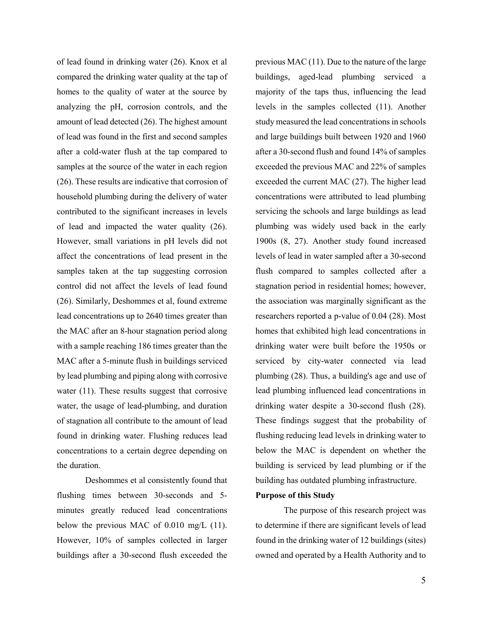of lead found in drinking water (26). Knox et al compared the drinking water quality at the tap of homes to the quality of water at the source by analyzing the pH, corrosion controls, and the amount of lead detected (26). The highest amount of lead was found in the first and second samples after a cold-water flush at the tap compared to samples at the source of the water in each region (26). These results are indicative that corrosion of household plumbing during the delivery of water contributed to the significant increases in levels of lead and impacted the water quality (26). However, small variations in pH levels did not affect the concentrations of lead present in the samples taken at the tap suggesting corrosion control did not affect the levels of lead found (26). Similarly, Deshommes et al, found extreme lead concentrations up to 2640 times greater than the MAC after an 8-hour stagnation period along with a sample reaching 186 times greater than the MAC after a 5-minute flush in buildings serviced by lead plumbing and piping along with corrosive water (11). These results suggest that corrosive water, the usage of lead-plumbing, and duration of stagnation all contribute to the amount of lead found in drinking water. Flushing reduces lead concentrations to a certain degree depending on the duration.

Deshommes et al consistently found that flushing times between 30-seconds and 5 minutes greatly reduced lead concentrations below the previous MAC of 0.010 mg/L (11). However, 10% of samples collected in larger buildings after a 30-second flush exceeded the

previous MAC (11). Due to the nature of the large buildings, aged-lead plumbing serviced a majority of the taps thus, influencing the lead levels in the samples collected (11). Another study measured the lead concentrations in schools and large buildings built between 1920 and 1960 after a 30-second flush and found 14% of samples exceeded the previous MAC and 22% of samples exceeded the current MAC (27). The higher lead concentrations were attributed to lead plumbing servicing the schools and large buildings as lead plumbing was widely used back in the early 1900s (8, 27). Another study found increased levels of lead in water sampled after a 30-second flush compared to samples collected after a stagnation period in residential homes; however, the association was marginally significant as the researchers reported a p-value of 0.04 (28). Most homes that exhibited high lead concentrations in drinking water were built before the 1950s or serviced by city-water connected via lead plumbing (28). Thus, a building's age and use of lead plumbing influenced lead concentrations in drinking water despite a 30-second flush (28). These findings suggest that the probability of flushing reducing lead levels in drinking water to below the MAC is dependent on whether the building is serviced by lead plumbing or if the building has outdated plumbing infrastructure.

## **Purpose of this Study**

The purpose of this research project was to determine if there are significant levels of lead found in the drinking water of 12 buildings (sites) owned and operated by a Health Authority and to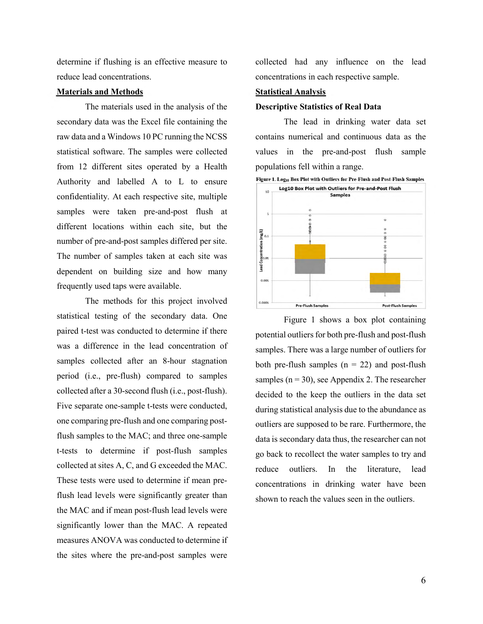determine if flushing is an effective measure to reduce lead concentrations.

### **Materials and Methods**

The materials used in the analysis of the secondary data was the Excel file containing the raw data and a Windows 10 PC running the NCSS statistical software. The samples were collected from 12 different sites operated by a Health Authority and labelled A to L to ensure confidentiality. At each respective site, multiple samples were taken pre-and-post flush at different locations within each site, but the number of pre-and-post samples differed per site. The number of samples taken at each site was dependent on building size and how many frequently used taps were available.

The methods for this project involved statistical testing of the secondary data. One paired t-test was conducted to determine if there was a difference in the lead concentration of samples collected after an 8-hour stagnation period (i.e., pre-flush) compared to samples collected after a 30-second flush (i.e., post-flush). Five separate one-sample t-tests were conducted, one comparing pre-flush and one comparing postflush samples to the MAC; and three one-sample t-tests to determine if post-flush samples collected at sites A, C, and G exceeded the MAC. These tests were used to determine if mean preflush lead levels were significantly greater than the MAC and if mean post-flush lead levels were significantly lower than the MAC. A repeated measures ANOVA was conducted to determine if the sites where the pre-and-post samples were

collected had any influence on the lead concentrations in each respective sample.

## **Statistical Analysis**

#### **Descriptive Statistics of Real Data**

The lead in drinking water data set contains numerical and continuous data as the values in the pre-and-post flush sample populations fell within a range.



Figure 1 shows a box plot containing potential outliers for both pre-flush and post-flush samples. There was a large number of outliers for both pre-flush samples  $(n = 22)$  and post-flush samples ( $n = 30$ ), see Appendix 2. The researcher decided to the keep the outliers in the data set during statistical analysis due to the abundance as outliers are supposed to be rare. Furthermore, the data is secondary data thus, the researcher can not go back to recollect the water samples to try and reduce outliers. In the literature, lead concentrations in drinking water have been shown to reach the values seen in the outliers.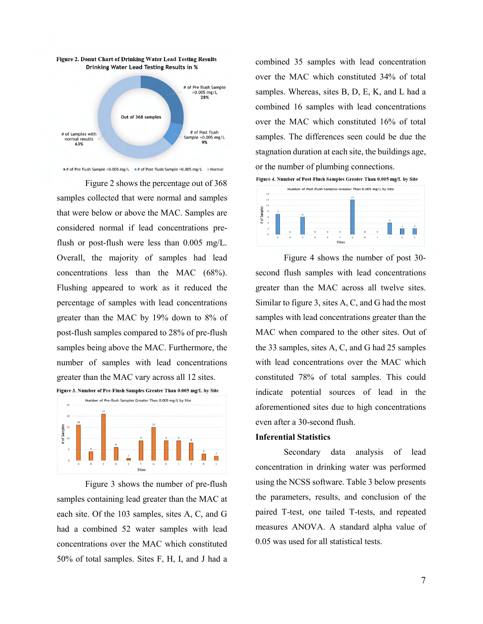

 $\equiv$ # of Pre flush Sample >0.005 mg/L  $\equiv$ # of Post flush Sample >0.005 mg/L  $\equiv$  Normal

Figure 2 shows the percentage out of 368 samples collected that were normal and samples that were below or above the MAC. Samples are considered normal if lead concentrations preflush or post-flush were less than 0.005 mg/L. Overall, the majority of samples had lead concentrations less than the MAC (68%). Flushing appeared to work as it reduced the percentage of samples with lead concentrations greater than the MAC by 19% down to 8% of post-flush samples compared to 28% of pre-flush samples being above the MAC. Furthermore, the number of samples with lead concentrations greater than the MAC vary across all 12 sites.



Figure 3 shows the number of pre-flush samples containing lead greater than the MAC at each site. Of the 103 samples, sites A, C, and G had a combined 52 water samples with lead concentrations over the MAC which constituted 50% of total samples. Sites F, H, I, and J had a

combined 35 samples with lead concentration over the MAC which constituted 34% of total samples. Whereas, sites B, D, E, K, and L had a combined 16 samples with lead concentrations over the MAC which constituted 16% of total samples. The differences seen could be due the stagnation duration at each site, the buildings age, or the number of plumbing connections.

Figure 4. Number of Post-Flush Samples Greater Thau 0.005 mg/L by Site



Figure 4 shows the number of post 30 second flush samples with lead concentrations greater than the MAC across all twelve sites. Similar to figure 3, sites A, C, and G had the most samples with lead concentrations greater than the MAC when compared to the other sites. Out of the 33 samples, sites A, C, and G had 25 samples with lead concentrations over the MAC which constituted 78% of total samples. This could indicate potential sources of lead in the aforementioned sites due to high concentrations even after a 30-second flush.

#### **Inferential Statistics**

Secondary data analysis of lead concentration in drinking water was performed using the NCSS software. Table 3 below presents the parameters, results, and conclusion of the paired T-test, one tailed T-tests, and repeated measures ANOVA. A standard alpha value of 0.05 was used for all statistical tests.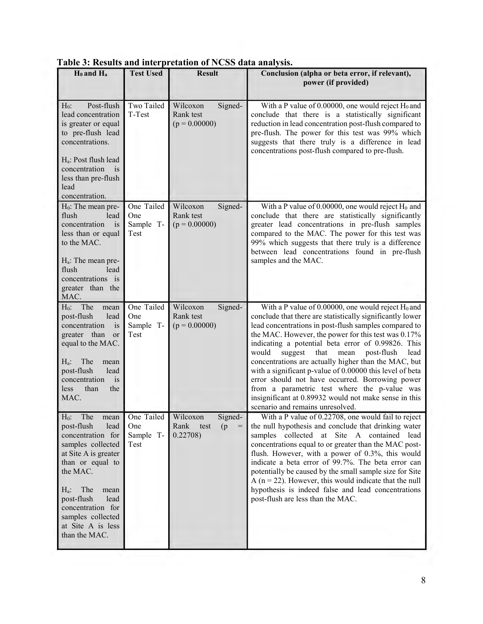| H <sub>0</sub> and H <sub>a</sub>                                                                                                                                                                                                                                      | <b>Test Used</b>                                     | <b>Result</b>                                       | Conclusion (alpha or beta error, if relevant),<br>power (if provided)                                                                                                                                                                                                                                                                                                                                                                                                                                                                                                                                                                                                  |
|------------------------------------------------------------------------------------------------------------------------------------------------------------------------------------------------------------------------------------------------------------------------|------------------------------------------------------|-----------------------------------------------------|------------------------------------------------------------------------------------------------------------------------------------------------------------------------------------------------------------------------------------------------------------------------------------------------------------------------------------------------------------------------------------------------------------------------------------------------------------------------------------------------------------------------------------------------------------------------------------------------------------------------------------------------------------------------|
| Post-flush<br>$H_0$ :<br>lead concentration<br>is greater or equal<br>to pre-flush lead<br>concentrations.<br>H <sub>a</sub> : Post flush lead<br>concentration<br>$\overline{1}$<br>less than pre-flush<br>lead<br>concentration.                                     | Two Tailed<br>T-Test                                 | Wilcoxon<br>Signed-<br>Rank test<br>$(p = 0.00000)$ | With a P value of 0.00000, one would reject $H_0$ and<br>conclude that there is a statistically significant<br>reduction in lead concentration post-flush compared to<br>pre-flush. The power for this test was 99% which<br>suggests that there truly is a difference in lead<br>concentrations post-flush compared to pre-flush.                                                                                                                                                                                                                                                                                                                                     |
| $H_0$ : The mean pre-<br>flush<br>lead<br>concentration<br>is<br>less than or equal<br>to the MAC.<br>$H_a$ : The mean pre-<br>flush<br>lead<br>concentrations is<br>greater than the<br>MAC.                                                                          | One Tailed<br>One<br>Sample T-<br>Test               | Wilcoxon<br>Signed-<br>Rank test<br>$(p = 0.00000)$ | With a P value of 0.00000, one would reject $H_0$ and<br>conclude that there are statistically significantly<br>greater lead concentrations in pre-flush samples<br>compared to the MAC. The power for this test was<br>99% which suggests that there truly is a difference<br>between lead concentrations found in pre-flush<br>samples and the MAC.                                                                                                                                                                                                                                                                                                                  |
| $H_0$ : The<br>mean<br>post-flush<br>lead<br>concentration<br>is<br>greater than<br>or<br>equal to the MAC.<br>$H_a$ :<br>The<br>mean<br>post-flush<br>lead<br>concentration<br>is<br>than<br>less<br>the<br>MAC.                                                      | One Tailed<br>One<br>Sample T-<br>Test               | Signed-<br>Wilcoxon<br>Rank test<br>$(p = 0.00000)$ | With a P value of 0.00000, one would reject $H_0$ and<br>conclude that there are statistically significantly lower<br>lead concentrations in post-flush samples compared to<br>the MAC. However, the power for this test was 0.17%<br>indicating a potential beta error of 0.99826. This<br>would<br>suggest<br>that<br>post-flush<br>mean<br>lead<br>concentrations are actually higher than the MAC, but<br>with a significant p-value of 0.00000 this level of beta<br>error should not have occurred. Borrowing power<br>from a parametric test where the p-value was<br>insignificant at 0.89932 would not make sense in this<br>scenario and remains unresolved. |
| $H_0$ :<br>The<br>lead<br>post-flush<br>concentration for<br>samples collected<br>at Site A is greater<br>than or equal to<br>the MAC.<br>The<br>$H_a$ :<br>mean<br>post-flush<br>lead<br>concentration for<br>samples collected<br>at Site A is less<br>than the MAC. | mean One Tailed Wilcoxon<br>One<br>Sample T-<br>Test | Signed-<br>Rank<br>(p)<br>test<br>$=$<br>0.22708)   | With a P value of 0.22708, one would fail to reject<br>the null hypothesis and conclude that drinking water<br>samples collected at Site A contained lead<br>concentrations equal to or greater than the MAC post-<br>flush. However, with a power of 0.3%, this would<br>indicate a beta error of 99.7%. The beta error can<br>potentially be caused by the small sample size for Site<br>A ( $n = 22$ ). However, this would indicate that the null<br>hypothesis is indeed false and lead concentrations<br>post-flush are less than the MAC.                                                                                                                       |

# **Table 3: Results and interpretation of NCSS data analysis.**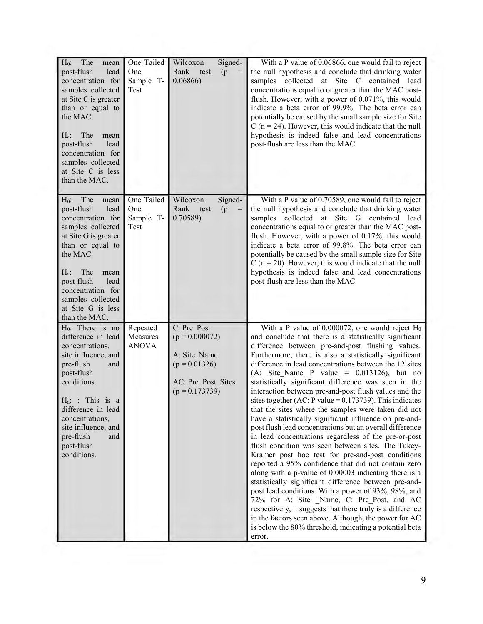| The<br>$H_0$ :<br>mean<br>post-flush<br>lead<br>concentration for<br>samples collected<br>at Site C is greater<br>than or equal to<br>the MAC.<br>The<br>$H_a$ :<br>mean<br>post-flush<br>lead<br>concentration for<br>samples collected<br>at Site C is less<br>than the MAC. | One Tailed<br>One<br>Sample T-<br>Test | Signed-<br>Wilcoxon<br>Rank<br>(p)<br>test<br>$=$<br>0.06866)                                                | With a P value of 0.06866, one would fail to reject<br>the null hypothesis and conclude that drinking water<br>samples collected at Site C contained lead<br>concentrations equal to or greater than the MAC post-<br>flush. However, with a power of 0.071%, this would<br>indicate a beta error of 99.9%. The beta error can<br>potentially be caused by the small sample size for Site<br>C ( $n = 24$ ). However, this would indicate that the null<br>hypothesis is indeed false and lead concentrations<br>post-flush are less than the MAC.                                                                                                                                                                                                                                                                                                                                                                                                                                                                                                                                                                                                                                                                                                                                                                                          |
|--------------------------------------------------------------------------------------------------------------------------------------------------------------------------------------------------------------------------------------------------------------------------------|----------------------------------------|--------------------------------------------------------------------------------------------------------------|---------------------------------------------------------------------------------------------------------------------------------------------------------------------------------------------------------------------------------------------------------------------------------------------------------------------------------------------------------------------------------------------------------------------------------------------------------------------------------------------------------------------------------------------------------------------------------------------------------------------------------------------------------------------------------------------------------------------------------------------------------------------------------------------------------------------------------------------------------------------------------------------------------------------------------------------------------------------------------------------------------------------------------------------------------------------------------------------------------------------------------------------------------------------------------------------------------------------------------------------------------------------------------------------------------------------------------------------|
| The<br>$H_0$ :<br>mean<br>post-flush<br>lead<br>concentration for<br>samples collected<br>at Site G is greater<br>than or equal to<br>the MAC.<br>The<br>$H_a$ :<br>mean<br>post-flush<br>lead<br>concentration for<br>samples collected<br>at Site G is less<br>than the MAC. | One Tailed<br>One<br>Sample T-<br>Test | Wilcoxon<br>Signed-<br>Rank<br>test<br>(p)<br>$=$<br>0.70589)                                                | With a P value of 0.70589, one would fail to reject<br>the null hypothesis and conclude that drinking water<br>samples collected at Site G contained lead<br>concentrations equal to or greater than the MAC post-<br>flush. However, with a power of 0.17%, this would<br>indicate a beta error of 99.8%. The beta error can<br>potentially be caused by the small sample size for Site<br>C ( $n = 20$ ). However, this would indicate that the null<br>hypothesis is indeed false and lead concentrations<br>post-flush are less than the MAC.                                                                                                                                                                                                                                                                                                                                                                                                                                                                                                                                                                                                                                                                                                                                                                                           |
| $H_0$ : There is no<br>difference in lead<br>concentrations,<br>site influence, and<br>pre-flush<br>and<br>post-flush<br>conditions.<br>$H_a$ : This is a<br>difference in lead<br>concentrations,<br>site influence, and<br>pre-flush<br>and<br>post-flush<br>conditions.     | Repeated<br>Measures<br><b>ANOVA</b>   | C: Pre Post<br>$(p = 0.000072)$<br>A: Site Name<br>$(p = 0.01326)$<br>AC: Pre Post Sites<br>$(p = 0.173739)$ | With a P value of 0.000072, one would reject $H_0$<br>and conclude that there is a statistically significant<br>difference between pre-and-post flushing values.<br>Furthermore, there is also a statistically significant<br>difference in lead concentrations between the 12 sites<br>(A: Site_Name P value = $0.013126$ ), but no<br>statistically significant difference was seen in the<br>interaction between pre-and-post flush values and the<br>sites together (AC: P value = $0.173739$ ). This indicates<br>that the sites where the samples were taken did not<br>have a statistically significant influence on pre-and-<br>post flush lead concentrations but an overall difference<br>in lead concentrations regardless of the pre-or-post<br>flush condition was seen between sites. The Tukey-<br>Kramer post hoc test for pre-and-post conditions<br>reported a 95% confidence that did not contain zero<br>along with a p-value of 0.00003 indicating there is a<br>statistically significant difference between pre-and-<br>post lead conditions. With a power of 93%, 98%, and<br>72% for A: Site Name, C: Pre Post, and AC<br>respectively, it suggests that there truly is a difference<br>in the factors seen above. Although, the power for AC<br>is below the 80% threshold, indicating a potential beta<br>error. |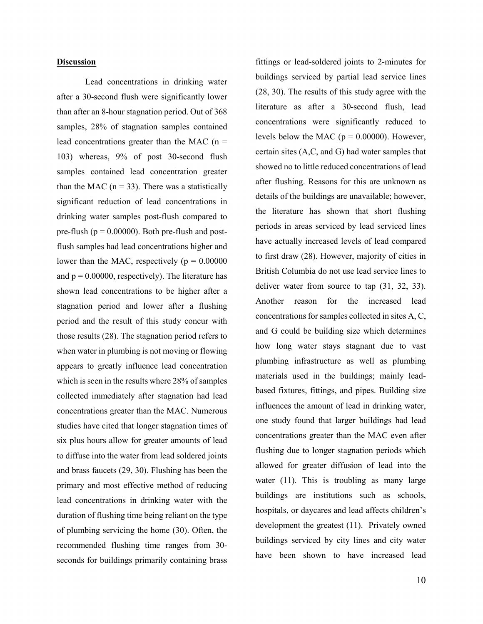## **Discussion**

Lead concentrations in drinking water after a 30-second flush were significantly lower than after an 8-hour stagnation period. Out of 368 samples, 28% of stagnation samples contained lead concentrations greater than the MAC  $(n =$ 103) whereas, 9% of post 30-second flush samples contained lead concentration greater than the MAC ( $n = 33$ ). There was a statistically significant reduction of lead concentrations in drinking water samples post-flush compared to pre-flush ( $p = 0.00000$ ). Both pre-flush and postflush samples had lead concentrations higher and lower than the MAC, respectively ( $p = 0.00000$ ) and  $p = 0.00000$ , respectively). The literature has shown lead concentrations to be higher after a stagnation period and lower after a flushing period and the result of this study concur with those results (28). The stagnation period refers to when water in plumbing is not moving or flowing appears to greatly influence lead concentration which is seen in the results where 28% of samples collected immediately after stagnation had lead concentrations greater than the MAC. Numerous studies have cited that longer stagnation times of six plus hours allow for greater amounts of lead to diffuse into the water from lead soldered joints and brass faucets (29, 30). Flushing has been the primary and most effective method of reducing lead concentrations in drinking water with the duration of flushing time being reliant on the type of plumbing servicing the home (30). Often, the recommended flushing time ranges from 30 seconds for buildings primarily containing brass

buildings serviced by partial lead service lines (28, 30). The results of this study agree with the literature as after a 30-second flush, lead concentrations were significantly reduced to levels below the MAC ( $p = 0.00000$ ). However, certain sites (A,C, and G) had water samples that showed no to little reduced concentrations of lead after flushing. Reasons for this are unknown as details of the buildings are unavailable; however, the literature has shown that short flushing periods in areas serviced by lead serviced lines have actually increased levels of lead compared to first draw (28). However, majority of cities in British Columbia do not use lead service lines to deliver water from source to tap (31, 32, 33). Another reason for the increased lead concentrations for samples collected in sites A, C, and G could be building size which determines how long water stays stagnant due to vast plumbing infrastructure as well as plumbing materials used in the buildings; mainly leadbased fixtures, fittings, and pipes. Building size influences the amount of lead in drinking water, one study found that larger buildings had lead concentrations greater than the MAC even after flushing due to longer stagnation periods which allowed for greater diffusion of lead into the water (11). This is troubling as many large buildings are institutions such as schools, hospitals, or daycares and lead affects children's development the greatest (11). Privately owned buildings serviced by city lines and city water have been shown to have increased lead

fittings or lead-soldered joints to 2-minutes for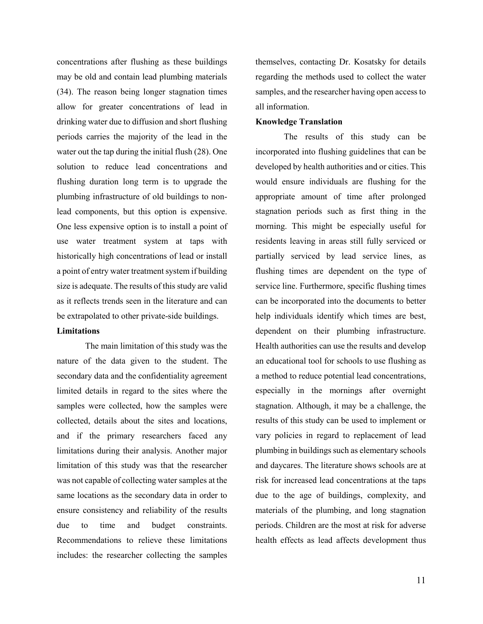concentrations after flushing as these buildings may be old and contain lead plumbing materials (34). The reason being longer stagnation times allow for greater concentrations of lead in drinking water due to diffusion and short flushing periods carries the majority of the lead in the water out the tap during the initial flush (28). One solution to reduce lead concentrations and flushing duration long term is to upgrade the plumbing infrastructure of old buildings to nonlead components, but this option is expensive. One less expensive option is to install a point of use water treatment system at taps with historically high concentrations of lead or install a point of entry water treatment system if building size is adequate. The results of this study are valid as it reflects trends seen in the literature and can be extrapolated to other private-side buildings.

#### **Limitations**

The main limitation of this study was the nature of the data given to the student. The secondary data and the confidentiality agreement limited details in regard to the sites where the samples were collected, how the samples were collected, details about the sites and locations, and if the primary researchers faced any limitations during their analysis. Another major limitation of this study was that the researcher was not capable of collecting water samples at the same locations as the secondary data in order to ensure consistency and reliability of the results due to time and budget constraints. Recommendations to relieve these limitations includes: the researcher collecting the samples

themselves, contacting Dr. Kosatsky for details regarding the methods used to collect the water samples, and the researcher having open access to all information.

#### **Knowledge Translation**

The results of this study can be incorporated into flushing guidelines that can be developed by health authorities and or cities. This would ensure individuals are flushing for the appropriate amount of time after prolonged stagnation periods such as first thing in the morning. This might be especially useful for residents leaving in areas still fully serviced or partially serviced by lead service lines, as flushing times are dependent on the type of service line. Furthermore, specific flushing times can be incorporated into the documents to better help individuals identify which times are best, dependent on their plumbing infrastructure. Health authorities can use the results and develop an educational tool for schools to use flushing as a method to reduce potential lead concentrations, especially in the mornings after overnight stagnation. Although, it may be a challenge, the results of this study can be used to implement or vary policies in regard to replacement of lead plumbing in buildings such as elementary schools and daycares. The literature shows schools are at risk for increased lead concentrations at the taps due to the age of buildings, complexity, and materials of the plumbing, and long stagnation periods. Children are the most at risk for adverse health effects as lead affects development thus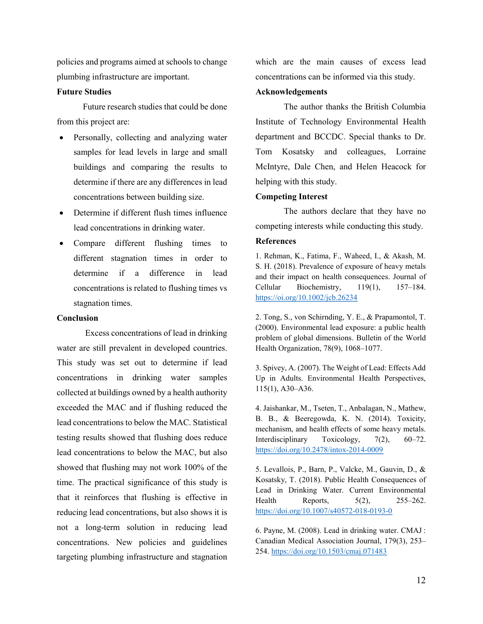policies and programs aimed at schools to change plumbing infrastructure are important.

## **Future Studies**

 Future research studies that could be done from this project are:

- Personally, collecting and analyzing water samples for lead levels in large and small buildings and comparing the results to determine if there are any differences in lead concentrations between building size.
- Determine if different flush times influence lead concentrations in drinking water.
- Compare different flushing times to different stagnation times in order to determine if a difference in lead concentrations is related to flushing times vs stagnation times.

#### **Conclusion**

Excess concentrations of lead in drinking water are still prevalent in developed countries. This study was set out to determine if lead concentrations in drinking water samples collected at buildings owned by a health authority exceeded the MAC and if flushing reduced the lead concentrations to below the MAC. Statistical testing results showed that flushing does reduce lead concentrations to below the MAC, but also showed that flushing may not work 100% of the time. The practical significance of this study is that it reinforces that flushing is effective in reducing lead concentrations, but also shows it is not a long-term solution in reducing lead concentrations. New policies and guidelines targeting plumbing infrastructure and stagnation which are the main causes of excess lead concentrations can be informed via this study.

### **Acknowledgements**

The author thanks the British Columbia Institute of Technology Environmental Health department and BCCDC. Special thanks to Dr. Tom Kosatsky and colleagues, Lorraine McIntyre, Dale Chen, and Helen Heacock for helping with this study.

#### **Competing Interest**

The authors declare that they have no competing interests while conducting this study.

#### **References**

1. Rehman, K., Fatima, F., Waheed, I., & Akash, M. S. H. (2018). Prevalence of exposure of heavy metals and their impact on health consequences. Journal of Cellular Biochemistry, 119(1), 157–184. <https://oi.org/10.1002/jcb.26234>

2. Tong, S., von Schirnding, Y. E., & Prapamontol, T. (2000). Environmental lead exposure: a public health problem of global dimensions. Bulletin of the World Health Organization, 78(9), 1068–1077.

3. Spivey, A. (2007). The Weight of Lead: Effects Add Up in Adults. Environmental Health Perspectives, 115(1), A30–A36.

4. Jaishankar, M., Tseten, T., Anbalagan, N., Mathew, B. B., & Beeregowda, K. N. (2014). Toxicity, mechanism, and health effects of some heavy metals. Interdisciplinary Toxicology, 7(2), 60–72. <https://doi.org/10.2478/intox-2014-0009>

5. Levallois, P., Barn, P., Valcke, M., Gauvin, D., & Kosatsky, T. (2018). Public Health Consequences of Lead in Drinking Water. Current Environmental Health Reports, 5(2), 255–262. <https://doi.org/10.1007/s40572-018-0193-0>

6. Payne, M. (2008). Lead in drinking water. CMAJ : Canadian Medical Association Journal, 179(3), 253– 254. <https://doi.org/10.1503/cmaj.071483>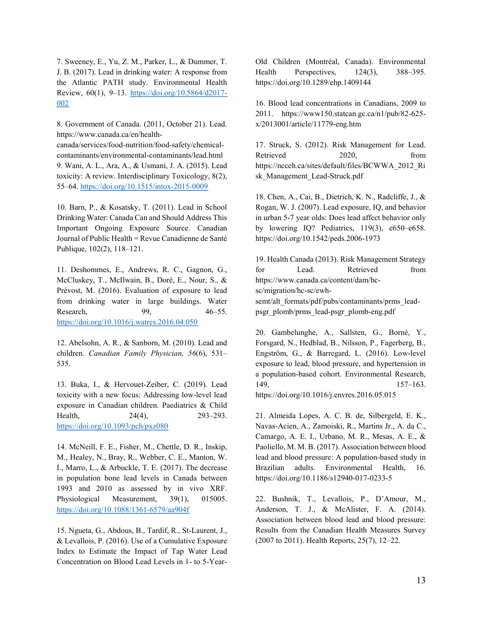7. Sweeney, E., Yu, Z. M., Parker, L., & Dummer, T. J. B. (2017). Lead in drinking water: A response from the Atlantic PATH study. Environmental Health Review, 60(1), 9–13. [https://doi.org/10.5864/d2017-](https://doi.org/10.5864/d2017-002) [002](https://doi.org/10.5864/d2017-002)

8. Government of Canada. (2011, October 21). Lead. https://www.canada.ca/en/health-

canada/services/food-nutrition/food-safety/chemicalcontaminants/environmental-contaminants/lead.html 9. Wani, A. L., Ara, A., & Usmani, J. A. (2015). Lead toxicity: A review. Interdisciplinary Toxicology, 8(2), 55–64.<https://doi.org/10.1515/intox-2015-0009>

10. Barn, P., & Kosatsky, T. (2011). Lead in School Drinking Water: Canada Can and Should Address This Important Ongoing Exposure Source. Canadian Journal of Public Health = Revue Canadienne de Santé Publique, 102(2), 118–121.

11. Deshommes, E., Andrews, R. C., Gagnon, G., McCluskey, T., McIlwain, B., Doré, E., Nour, S., & Prévost, M. (2016). Evaluation of exposure to lead from drinking water in large buildings. Water Research, 99, 46–55. <https://doi.org/10.1016/j.watres.2016.04.050>

12. Abelsohn, A. R., & Sanborn, M. (2010). Lead and children. *Canadian Family Physician, 56*(6), 531– 535.

13. Buka, I., & Hervouet-Zeiber, C. (2019). Lead toxicity with a new focus: Addressing low-level lead exposure in Canadian children. Paediatrics & Child Health, 24(4), 293–293. <https://doi.org/10.1093/pch/pxz080>

14. McNeill, F. E., Fisher, M., Chettle, D. R., Inskip, M., Healey, N., Bray, R., Webber, C. E., Manton, W. I., Marro, L., & Arbuckle, T. E. (2017). The decrease in population bone lead levels in Canada between 1993 and 2010 as assessed by in vivo XRF. Physiological Measurement, 39(1), 015005. <https://doi.org/10.1088/1361-6579/aa904f>

15. Ngueta, G., Abdous, B., Tardif, R., St-Laurent, J., & Levallois, P. (2016). Use of a Cumulative Exposure Index to Estimate the Impact of Tap Water Lead Concentration on Blood Lead Levels in 1- to 5-Year-

Old Children (Montréal, Canada). Environmental Health Perspectives, 124(3), 388–395. https://doi.org/10.1289/ehp.1409144

16. Blood lead concentrations in Canadians, 2009 to 2011. https://www150.statcan.gc.ca/n1/pub/82-625 x/2013001/article/11779-eng.htm

17. Struck, S. (2012). Risk Management for Lead. Retrieved 2020, from https://ncceh.ca/sites/default/files/BCWWA\_2012\_Ri sk\_Management\_Lead-Struck.pdf

18. Chen, A., Cai, B., Dietrich, K. N., Radcliffe, J., & Rogan, W. J. (2007). Lead exposure, IQ, and behavior in urban 5-7 year olds: Does lead affect behavior only by lowering IQ? Pediatrics, 119(3), e650–e658. https://doi.org/10.1542/peds.2006-1973

19. Health Canada (2013). Risk Management Strategy for Lead. Retrieved from https://www.canada.ca/content/dam/hcsc/migration/hc-sc/ewhsemt/alt\_formats/pdf/pubs/contaminants/prms\_leadpsgr\_plomb/prms\_lead-psgr\_plomb-eng.pdf

20. Gambelunghe, A., Sallsten, G., Borné, Y., Forsgard, N., Hedblad, B., Nilsson, P., Fagerberg, B., Engström, G., & Barregard, L. (2016). Low-level exposure to lead, blood pressure, and hypertension in a population-based cohort. Environmental Research, 149, 157–163. https://doi.org/10.1016/j.envres.2016.05.015

21. Almeida Lopes, A. C. B. de, Silbergeld, E. K., Navas-Acien, A., Zamoiski, R., Martins Jr., A. da C., Camargo, A. E. I., Urbano, M. R., Mesas, A. E., & Paoliello, M. M. B. (2017). Association between blood lead and blood pressure: A population-based study in Brazilian adults. Environmental Health, 16. https://doi.org/10.1186/s12940-017-0233-5

22. Bushnik, T., Levallois, P., D'Amour, M., Anderson, T. J., & McAlister, F. A. (2014). Association between blood lead and blood pressure: Results from the Canadian Health Measures Survey (2007 to 2011). Health Reports, 25(7), 12–22.